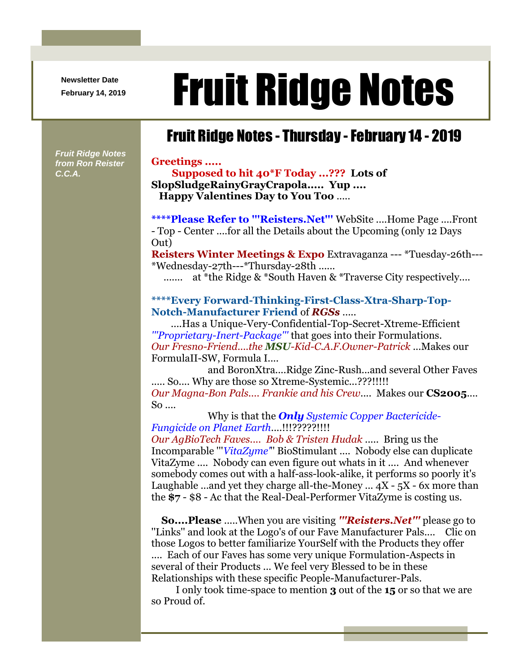**Newsletter Date**

*Fruit Ridge Notes from Ron Reister* 

*C.C.A.*

# Newsletter Date **Fruit Ridge Notes**

## Fruit Ridge Notes - Thursday -February 14 - 2019

#### **Greetings .....**

**Supposed to hit 40\*F Today ...??? Lots of SlopSludgeRainyGrayCrapola..... Yup .... Happy Valentines Day to You Too** .....

**\*\*\*\*Please Refer to '''Reisters.Net'''** WebSite ....Home Page ....Front - Top - Center ....for all the Details about the Upcoming (only 12 Days Out)

**Reisters Winter Meetings & Expo** Extravaganza --- \*Tuesday-26th--- \*Wednesday-27th---\*Thursday-28th ......

....... at \*the Ridge & \*South Haven & \*Traverse City respectively....

### **\*\*\*\*Every Forward-Thinking-First-Class-Xtra-Sharp-Top-Notch-Manufacturer Friend** of *RGSs* .....

....Has a Unique-Very-Confidential-Top-Secret-Xtreme-Efficient *'''Proprietary-Inert-Package'''* that goes into their Formulations. *Our Fresno-Friend....the MSU-Kid-C.A.F.Owner-Patrick* ...Makes our FormulaII-SW, Formula I....

and BoronXtra....Ridge Zinc-Rush...and several Other Faves ..... So.... Why are those so Xtreme-Systemic...???!!!!! *Our Magna-Bon Pals.... Frankie and his Crew*.... Makes our **CS2005**.... So ....

Why is that the *Only Systemic Copper Bactericide-Fungicide on Planet Earth*....!!!?????!!!!

*Our AgBioTech Faves.... Bob & Tristen Hudak* ..... Bring us the Incomparable '''*VitaZyme'*'' BioStimulant .... Nobody else can duplicate VitaZyme .... Nobody can even figure out whats in it .... And whenever somebody comes out with a half-ass-look-alike, it performs so poorly it's Laughable ...and yet they charge all-the-Money  $\ldots$  4X - 5X - 6x more than the **\$7** - \$8 - Ac that the Real-Deal-Performer VitaZyme is costing us.

**So....Please** .....When you are visiting *'''Reisters.Net'''* please go to ''Links'' and look at the Logo's of our Fave Manufacturer Pals.... Clic on those Logos to better familiarize YourSelf with the Products they offer .... Each of our Faves has some very unique Formulation-Aspects in several of their Products ... We feel very Blessed to be in these Relationships with these specific People-Manufacturer-Pals.

I only took time-space to mention **3** out of the **15** or so that we are so Proud of.